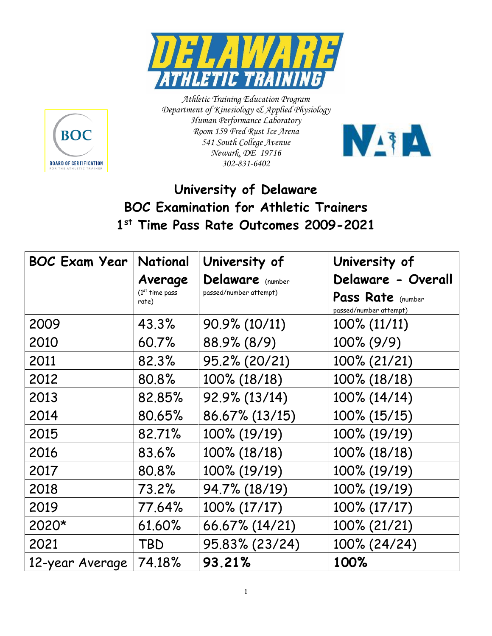



*Athletic Training Education Program Department of Kinesiology & Applied Physiology Human Performance Laboratory Room 159 Fred Rust Ice Arena 541 South College Avenue Newark, DE 19716 302-831-6402*



## **University of Delaware BOC Examination for Athletic Trainers 1 st Time Pass Rate Outcomes 2009-2021**

| <b>BOC Exam Year</b> | National                  | University of          | University of                               |
|----------------------|---------------------------|------------------------|---------------------------------------------|
|                      | Average                   | Delaware (number       | Delaware - Overall                          |
|                      | $(1st$ time pass<br>rate) | passed/number attempt) | Pass Rate (number<br>passed/number attempt) |
| 2009                 | 43.3%                     | 90.9% (10/11)          | $100\% (11/11)$                             |
| 2010                 | 60.7%                     | 88.9% (8/9)            | $100\% (9/9)$                               |
| 2011                 | 82.3%                     | 95.2% (20/21)          | 100% (21/21)                                |
| 2012                 | 80.8%                     | 100% (18/18)           | 100% (18/18)                                |
| 2013                 | 82.85%                    | 92.9% (13/14)          | 100% (14/14)                                |
| 2014                 | 80.65%                    | 86.67% (13/15)         | 100% (15/15)                                |
| 2015                 | 82.71%                    | 100% (19/19)           | 100% (19/19)                                |
| 2016                 | 83.6%                     | 100% (18/18)           | 100% (18/18)                                |
| 2017                 | 80.8%                     | 100% (19/19)           | 100% (19/19)                                |
| 2018                 | 73.2%                     | 94.7% (18/19)          | 100% (19/19)                                |
| 2019                 | 77.64%                    | 100% (17/17)           | 100% (17/17)                                |
| 2020*                | 61.60%                    | 66.67% (14/21)         | 100% (21/21)                                |
| 2021                 | TBD                       | 95.83% (23/24)         | 100% (24/24)                                |
| 12-year Average      | 74.18%                    | 93.21%                 | 100%                                        |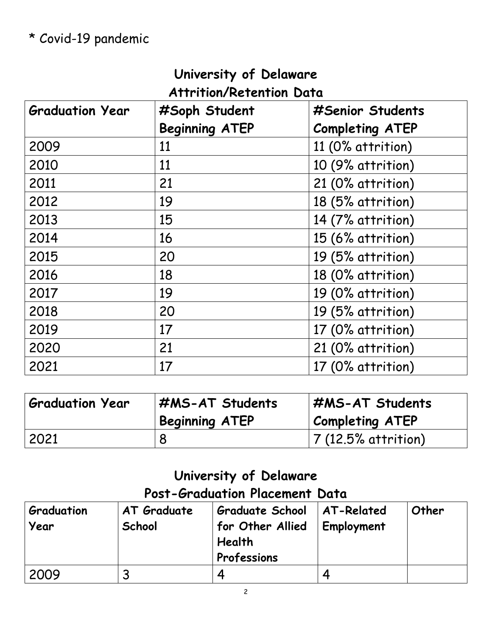## **University of Delaware Attrition/Retention Data**

| <b>Graduation Year</b> | #Soph Student<br><b>Beginning ATEP</b> | #Senior Students<br><b>Completing ATEP</b> |
|------------------------|----------------------------------------|--------------------------------------------|
| 2009                   | 11                                     | 11 (0% attrition)                          |
| 2010                   | 11                                     | 10 (9% attrition)                          |
| 2011                   | 21                                     | 21 (0% attrition)                          |
| 2012                   | 19                                     | 18 (5% attrition)                          |
| 2013                   | 15                                     | 14 (7% attrition)                          |
| 2014                   | 16                                     | 15 (6% attrition)                          |
| 2015                   | 20                                     | 19 (5% attrition)                          |
| 2016                   | 18                                     | 18 (0% attrition)                          |
| 2017                   | 19                                     | 19 (0% attrition)                          |
| 2018                   | 20                                     | 19 (5% attrition)                          |
| 2019                   | 17                                     | 17 (0% attrition)                          |
| 2020                   | 21                                     | 21 (0% attrition)                          |
| 2021                   | 17                                     | 17 (0% attrition)                          |

| <b>Graduation Year</b> | <b>I #MS-AT Students</b><br><b>Beginning ATEP</b> | #MS-AT Students<br><b>Completing ATEP</b> |
|------------------------|---------------------------------------------------|-------------------------------------------|
| 2021                   |                                                   | $ 7(12.5\%$ attrition)                    |

## **University of Delaware**

## **Post-Graduation Placement Data**

| Graduation<br>Year | AT Graduate<br>School | <b>Graduate School</b><br>for Other Allied<br>Health<br>Professions | AT-Related<br>Employment | Other |
|--------------------|-----------------------|---------------------------------------------------------------------|--------------------------|-------|
| 2009               |                       |                                                                     |                          |       |